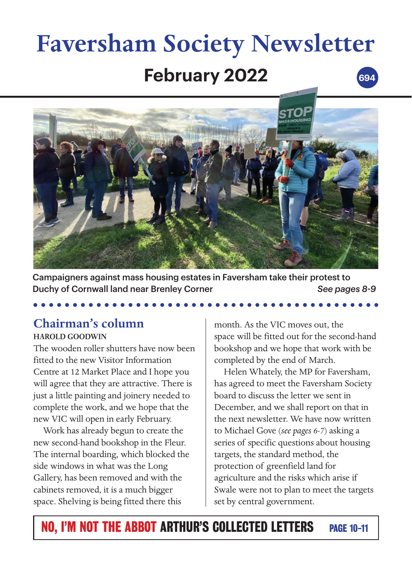# **February 2022 Faversham Society Newsletter 694**



Campaigners against mass housing estates in Faversham take their protest to Duchy of Cornwall land near Brenley Corner *See pages 8-9*

# **Chairman's column**

### **HAROLD GOODWIN**

The wooden roller shutters have now been fitted to the new Visitor Information Centre at 12 Market Place and I hope you will agree that they are attractive. There is just a little painting and joinery needed to complete the work, and we hope that the new VIC will open in early February.

Work has already begun to create the new second-hand bookshop in the Fleur. The internal boarding, which blocked the side windows in what was the Long Gallery, has been removed and with the cabinets removed, it is a much bigger space. Shelving is being fitted there this

month. As the VIC moves out, the space will be fitted out for the second-hand bookshop and we hope that work with be completed by the end of March.

Helen Whately, the MP for Faversham, has agreed to meet the Faversham Society board to discuss the letter we sent in December, and we shall report on that in the next newsletter. We have now written to Michael Gove (*see pages 6-7*) asking a series of specific questions about housing targets, the standard method, the protection of greenfield land for agriculture and the risks which arise if Swale were not to plan to meet the targets set by central government.

# NO, I'M NOT THE ABBOT ARTHUR'S COLLECTED LETTERS PAGE 10-11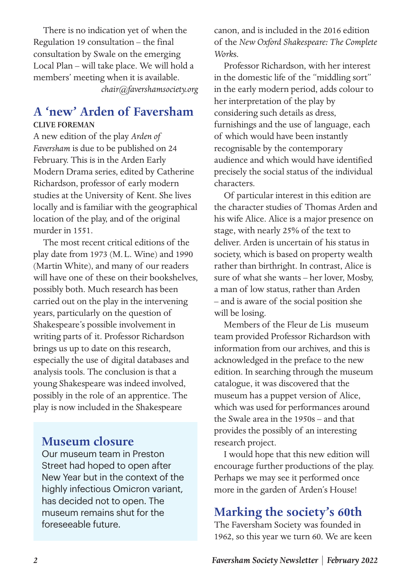There is no indication yet of when the Regulation 19 consultation – the final consultation by Swale on the emerging Local Plan – will take place. We will hold a members' meeting when it is available. *chair@favershamsociety.org*

### **A 'new' Arden of Faversham CLIVE FOREMAN**

A new edition of the play *Arden of Faversham* is due to be published on 24 February. This is in the Arden Early Modern Drama series, edited by Catherine Richardson, professor of early modern studies at the University of Kent. She lives locally and is familiar with the geographical location of the play, and of the original murder in 1551.

The most recent critical editions of the play date from 1973 (M.L. Wine) and 1990 (Martin White), and many of our readers will have one of these on their bookshelves, possibly both. Much research has been carried out on the play in the intervening years, particularly on the question of Shakespeare's possible involvement in writing parts of it. Professor Richardson brings us up to date on this research, especially the use of digital databases and analysis tools. The conclusion is that a young Shakespeare was indeed involved, possibly in the role of an apprentice. The play is now included in the Shakespeare

### **Museum closure**

Our museum team in Preston Street had hoped to open after New Year but in the context of the highly infectious Omicron variant, has decided not to open. The museum remains shut for the foreseeable future.

canon, and is included in the 2016 edition of the *New Oxford Shakespeare: The Complete Work*s.

Professor Richardson, with her interest in the domestic life of the "middling sort" in the early modern period, adds colour to her interpretation of the play by considering such details as dress, furnishings and the use of language, each of which would have been instantly recognisable by the contemporary audience and which would have identified precisely the social status of the individual characters.

Of particular interest in this edition are the character studies of Thomas Arden and his wife Alice. Alice is a major presence on stage, with nearly 25% of the text to deliver. Arden is uncertain of his status in society, which is based on property wealth rather than birthright. In contrast, Alice is sure of what she wants – her lover, Mosby, a man of low status, rather than Arden – and is aware of the social position she will be losing.

Members of the Fleur de Lis museum team provided Professor Richardson with information from our archives, and this is acknowledged in the preface to the new edition. In searching through the museum catalogue, it was discovered that the museum has a puppet version of Alice, which was used for performances around the Swale area in the 1950s – and that provides the possibly of an interesting research project.

I would hope that this new edition will encourage further productions of the play. Perhaps we may see it performed once more in the garden of Arden's House!

# **Marking the society's 60th**

The Faversham Society was founded in 1962, so this year we turn 60. We are keen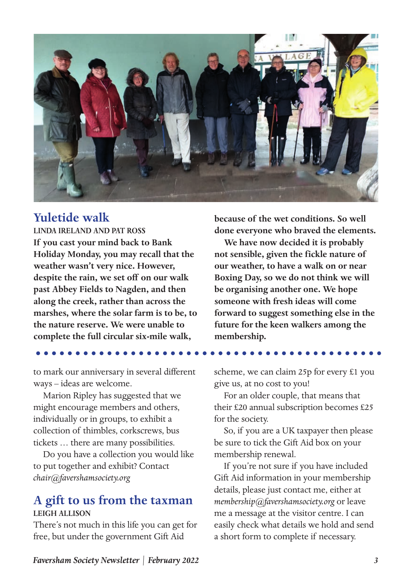

# **Yuletide walk**

**LINDA IRELAND AND PAT ROSS If you cast your mind back to Bank Holiday Monday, you may recall that the weather wasn't very nice. However, despite the rain, we set off on our walk past Abbey Fields to Nagden, and then along the creek, rather than across the marshes, where the solar farm is to be, to the nature reserve. We were unable to complete the full circular six-mile walk,** 

to mark our anniversary in several different ways – ideas are welcome.

Marion Ripley has suggested that we might encourage members and others, individually or in groups, to exhibit a collection of thimbles, corkscrews, bus tickets … there are many possibilities.

Do you have a collection you would like to put together and exhibit? Contact *chair@favershamsociety.org*

### **A gift to us from the taxman LEIGH ALLISON**

There's not much in this life you can get for free, but under the government Gift Aid

**because of the wet conditions. So well done everyone who braved the elements.**

**We have now decided it is probably not sensible, given the fickle nature of our weather, to have a walk on or near Boxing Day, so we do not think we will be organising another one. We hope someone with fresh ideas will come forward to suggest something else in the future for the keen walkers among the membership.**

scheme, we can claim 25p for every £1 you give us, at no cost to you!

For an older couple, that means that their £20 annual subscription becomes £25 for the society.

So, if you are a UK taxpayer then please be sure to tick the Gift Aid box on your membership renewal.

If you're not sure if you have included Gift Aid information in your membership details, please just contact me, either at *membership@favershamsociety.org* or leave me a message at the visitor centre. I can easily check what details we hold and send a short form to complete if necessary.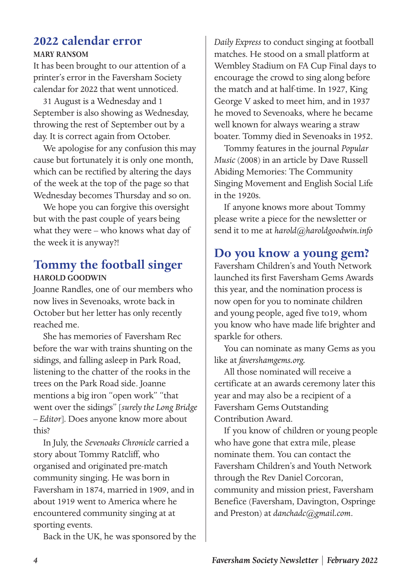# **2022 calendar error**

#### **MARY RANSOM**

It has been brought to our attention of a printer's error in the Faversham Society calendar for 2022 that went unnoticed.

31 August is a Wednesday and 1 September is also showing as Wednesday, throwing the rest of September out by a day. It is correct again from October.

We apologise for any confusion this may cause but fortunately it is only one month, which can be rectified by altering the days of the week at the top of the page so that Wednesday becomes Thursday and so on.

We hope you can forgive this oversight but with the past couple of years being what they were – who knows what day of the week it is anyway?!

## **Tommy the football singer HAROLD GOODWIN**

Joanne Randles, one of our members who now lives in Sevenoaks, wrote back in October but her letter has only recently reached me.

She has memories of Faversham Rec before the war with trains shunting on the sidings, and falling asleep in Park Road, listening to the chatter of the rooks in the trees on the Park Road side. Joanne mentions a big iron "open work" "that went over the sidings" [*surely the Long Bridge – Editor*]. Does anyone know more about this?

In July, the *Sevenoaks Chronicle* carried a story about Tommy Ratcliff, who organised and originated pre-match community singing. He was born in Faversham in 1874, married in 1909, and in about 1919 went to America where he encountered community singing at at sporting events.

Back in the UK, he was sponsored by the

*Daily Express* to conduct singing at football matches. He stood on a small platform at Wembley Stadium on FA Cup Final days to encourage the crowd to sing along before the match and at half-time. In 1927, King George V asked to meet him, and in 1937 he moved to Sevenoaks, where he became well known for always wearing a straw boater. Tommy died in Sevenoaks in 1952.

Tommy features in the journal *Popular Music* (2008) in an article by Dave Russell Abiding Memories: The Community Singing Movement and English Social Life in the 1920s.

If anyone knows more about Tommy please write a piece for the newsletter or send it to me at *harold@haroldgoodwin.info*

## **Do you know a young gem?**

Faversham Children's and Youth Network launched its first Faversham Gems Awards this year, and the nomination process is now open for you to nominate children and young people, aged five to19, whom you know who have made life brighter and sparkle for others.

You can nominate as many Gems as you like at *favershamgems.org.*

All those nominated will receive a certificate at an awards ceremony later this year and may also be a recipient of a Faversham Gems Outstanding Contribution Award.

If you know of children or young people who have gone that extra mile, please nominate them. You can contact the Faversham Children's and Youth Network through the Rev Daniel Corcoran, community and mission priest, Faversham Benefice (Faversham, Davington, Ospringe and Preston) at *danchadc@gmail.com*.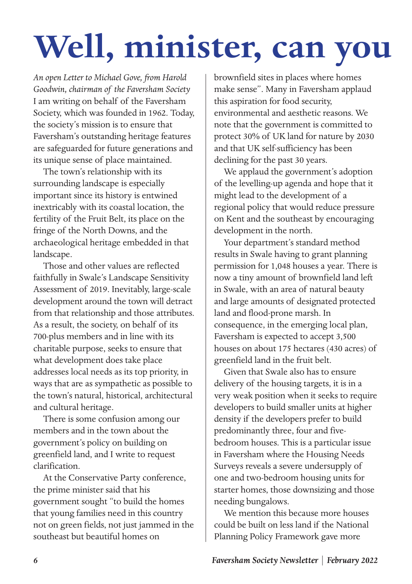# **Well, minister, can you**

*An open Letter to Michael Gove, from Harold Goodwin, chairman of the Faversham Society* I am writing on behalf of the Faversham Society, which was founded in 1962. Today, the society's mission is to ensure that Faversham's outstanding heritage features are safeguarded for future generations and its unique sense of place maintained.

The town's relationship with its surrounding landscape is especially important since its history is entwined inextricably with its coastal location, the fertility of the Fruit Belt, its place on the fringe of the North Downs, and the archaeological heritage embedded in that landscape.

Those and other values are reflected faithfully in Swale's Landscape Sensitivity Assessment of 2019. Inevitably, large-scale development around the town will detract from that relationship and those attributes. As a result, the society, on behalf of its 700-plus members and in line with its charitable purpose, seeks to ensure that what development does take place addresses local needs as its top priority, in ways that are as sympathetic as possible to the town's natural, historical, architectural and cultural heritage.

There is some confusion among our members and in the town about the government's policy on building on greenfield land, and I write to request clarification.

At the Conservative Party conference, the prime minister said that his government sought "to build the homes that young families need in this country not on green fields, not just jammed in the southeast but beautiful homes on

brownfield sites in places where homes make sense". Many in Faversham applaud this aspiration for food security, environmental and aesthetic reasons. We note that the government is committed to protect 30% of UK land for nature by 2030 and that UK self-sufficiency has been declining for the past 30 years.

We applaud the government's adoption of the levelling-up agenda and hope that it might lead to the development of a regional policy that would reduce pressure on Kent and the southeast by encouraging development in the north.

Your department's standard method results in Swale having to grant planning permission for 1,048 houses a year. There is now a tiny amount of brownfield land left in Swale, with an area of natural beauty and large amounts of designated protected land and flood-prone marsh. In consequence, in the emerging local plan, Faversham is expected to accept 3,500 houses on about 175 hectares (430 acres) of greenfield land in the fruit belt.

Given that Swale also has to ensure delivery of the housing targets, it is in a very weak position when it seeks to require developers to build smaller units at higher density if the developers prefer to build predominantly three, four and fivebedroom houses. This is a particular issue in Faversham where the Housing Needs Surveys reveals a severe undersupply of one and two-bedroom housing units for starter homes, those downsizing and those needing bungalows.

We mention this because more houses could be built on less land if the National Planning Policy Framework gave more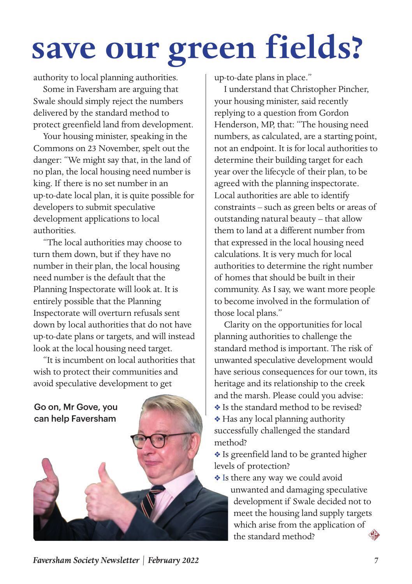# **save our green fields?**

authority to local planning authorities.

Some in Faversham are arguing that Swale should simply reject the numbers delivered by the standard method to protect greenfield land from development.

Your housing minister, speaking in the Commons on 23 November, spelt out the danger: "We might say that, in the land of no plan, the local housing need number is king. If there is no set number in an up-to-date local plan, it is quite possible for developers to submit speculative development applications to local authorities.

"The local authorities may choose to turn them down, but if they have no number in their plan, the local housing need number is the default that the Planning Inspectorate will look at. It is entirely possible that the Planning Inspectorate will overturn refusals sent down by local authorities that do not have up-to-date plans or targets, and will instead look at the local housing need target.

"It is incumbent on local authorities that wish to protect their communities and avoid speculative development to get

Go on, Mr Gove, you can help Faversham



up-to-date plans in place."

I understand that Christopher Pincher, your housing minister, said recently replying to a question from Gordon Henderson, MP, that: "The housing need numbers, as calculated, are a starting point, not an endpoint. It is for local authorities to determine their building target for each year over the lifecycle of their plan, to be agreed with the planning inspectorate. Local authorities are able to identify constraints – such as green belts or areas of outstanding natural beauty – that allow them to land at a different number from that expressed in the local housing need calculations. It is very much for local authorities to determine the right number of homes that should be built in their community. As I say, we want more people to become involved in the formulation of those local plans."

Clarity on the opportunities for local planning authorities to challenge the standard method is important. The risk of unwanted speculative development would have serious consequences for our town, its heritage and its relationship to the creek and the marsh. Please could you advise:

- v Is the standard method to be revised?
- v Has any local planning authority successfully challenged the standard method?

v Is greenfield land to be granted higher levels of protection?

\* Is there any way we could avoid unwanted and damaging speculative development if Swale decided not to meet the housing land supply targets which arise from the application of the standard method?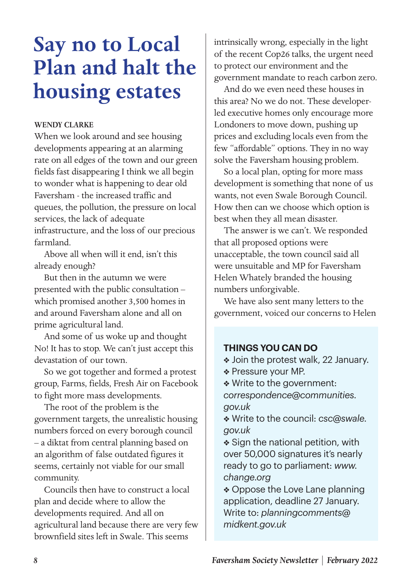# **Say no to Local Plan and halt the housing estates**

#### **WENDY CLARKE**

When we look around and see housing developments appearing at an alarming rate on all edges of the town and our green fields fast disappearing I think we all begin to wonder what is happening to dear old Faversham - the increased traffic and queues, the pollution, the pressure on local services, the lack of adequate infrastructure, and the loss of our precious farmland.

Above all when will it end, isn't this already enough?

But then in the autumn we were presented with the public consultation – which promised another 3,500 homes in and around Faversham alone and all on prime agricultural land.

And some of us woke up and thought No! It has to stop. We can't just accept this devastation of our town.

So we got together and formed a protest group, Farms, fields, Fresh Air on Facebook to fight more mass developments.

The root of the problem is the government targets, the unrealistic housing numbers forced on every borough council – a diktat from central planning based on an algorithm of false outdated figures it seems, certainly not viable for our small community.

Councils then have to construct a local plan and decide where to allow the developments required. And all on agricultural land because there are very few brownfield sites left in Swale. This seems

intrinsically wrong, especially in the light of the recent Cop26 talks, the urgent need to protect our environment and the government mandate to reach carbon zero.

And do we even need these houses in this area? No we do not. These developerled executive homes only encourage more Londoners to move down, pushing up prices and excluding locals even from the few "affordable" options. They in no way solve the Faversham housing problem.

So a local plan, opting for more mass development is something that none of us wants, not even Swale Borough Council. How then can we choose which option is best when they all mean disaster.

The answer is we can't. We responded that all proposed options were unacceptable, the town council said all were unsuitable and MP for Faversham Helen Whately branded the housing numbers unforgivable.

We have also sent many letters to the government, voiced our concerns to Helen

#### **THINGS YOU CAN DO**

- Join the protest walk, 22 January.
- \* Pressure your MP.
- v Write to the government:

*correspondence@communities. gov.uk*

v Write to the council: *csc@swale. gov.uk*

 $\triangleleft$  Sign the national petition, with over 50,000 signatures it's nearly ready to go to parliament: *www. change.org*

• Oppose the Love Lane planning application, deadline 27 January. Write to: *planningcomments@ midkent.gov.uk*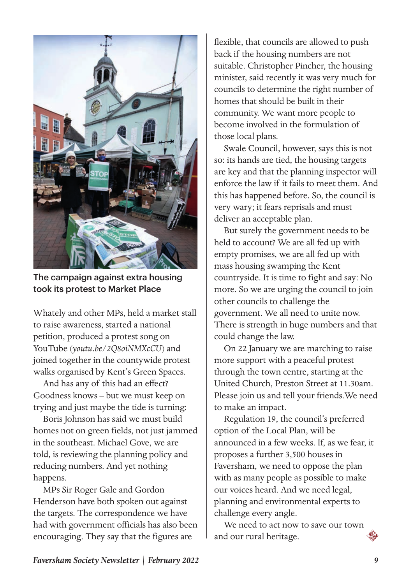

The campaign against extra housing took its protest to Market Place

Whately and other MPs, held a market stall to raise awareness, started a national petition, produced a protest song on YouTube (*youtu.be/2Q8oiNMXcCU*) and joined together in the countywide protest walks organised by Kent's Green Spaces.

And has any of this had an effect? Goodness knows – but we must keep on trying and just maybe the tide is turning:

Boris Johnson has said we must build homes not on green fields, not just jammed in the southeast. Michael Gove, we are told, is reviewing the planning policy and reducing numbers. And yet nothing happens.

MPs Sir Roger Gale and Gordon Henderson have both spoken out against the targets. The correspondence we have had with government officials has also been encouraging. They say that the figures are

flexible, that councils are allowed to push back if the housing numbers are not suitable. Christopher Pincher, the housing minister, said recently it was very much for councils to determine the right number of homes that should be built in their community. We want more people to become involved in the formulation of those local plans.

Swale Council, however, says this is not so: its hands are tied, the housing targets are key and that the planning inspector will enforce the law if it fails to meet them. And this has happened before. So, the council is very wary; it fears reprisals and must deliver an acceptable plan.

But surely the government needs to be held to account? We are all fed up with empty promises, we are all fed up with mass housing swamping the Kent countryside. It is time to fight and say: No more. So we are urging the council to join other councils to challenge the government. We all need to unite now. There is strength in huge numbers and that could change the law.

On 22 January we are marching to raise more support with a peaceful protest through the town centre, starting at the United Church, Preston Street at 11.30am. Please join us and tell your friends.We need to make an impact.

Regulation 19, the council's preferred option of the Local Plan, will be announced in a few weeks. If, as we fear, it proposes a further 3,500 houses in Faversham, we need to oppose the plan with as many people as possible to make our voices heard. And we need legal, planning and environmental experts to challenge every angle.

We need to act now to save our town and our rural heritage.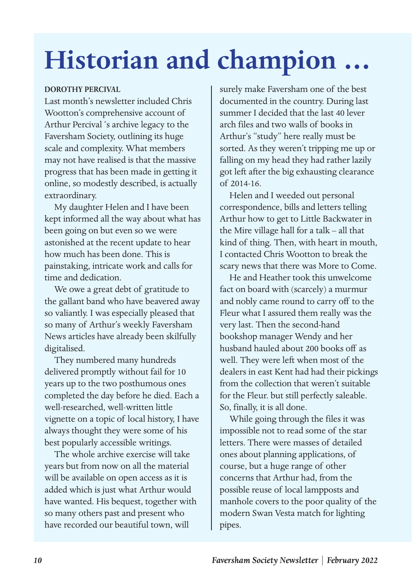# **Historian and champion …**

#### **DOROTHY PERCIVAL**

Last month's newsletter included Chris Wootton's comprehensive account of Arthur Percival 's archive legacy to the Faversham Society, outlining its huge scale and complexity. What members may not have realised is that the massive progress that has been made in getting it online, so modestly described, is actually extraordinary.

My daughter Helen and I have been kept informed all the way about what has been going on but even so we were astonished at the recent update to hear how much has been done. This is painstaking, intricate work and calls for time and dedication.

We owe a great debt of gratitude to the gallant band who have beavered away so valiantly. I was especially pleased that so many of Arthur's weekly Faversham News articles have already been skilfully digitalised.

They numbered many hundreds delivered promptly without fail for 10 years up to the two posthumous ones completed the day before he died. Each a well-researched, well-written little vignette on a topic of local history, I have always thought they were some of his best popularly accessible writings.

The whole archive exercise will take years but from now on all the material will be available on open access as it is added which is just what Arthur would have wanted. His bequest, together with so many others past and present who have recorded our beautiful town, will

surely make Faversham one of the best documented in the country. During last summer I decided that the last 40 lever arch files and two walls of books in Arthur's "study" here really must be sorted. As they weren't tripping me up or falling on my head they had rather lazily got left after the big exhausting clearance of 2014-16.

Helen and I weeded out personal correspondence, bills and letters telling Arthur how to get to Little Backwater in the Mire village hall for a talk – all that kind of thing. Then, with heart in mouth, I contacted Chris Wootton to break the scary news that there was More to Come.

He and Heather took this unwelcome fact on board with (scarcely) a murmur and nobly came round to carry off to the Fleur what I assured them really was the very last. Then the second-hand bookshop manager Wendy and her husband hauled about 200 books off as well. They were left when most of the dealers in east Kent had had their pickings from the collection that weren't suitable for the Fleur. but still perfectly saleable. So, finally, it is all done.

While going through the files it was impossible not to read some of the star letters. There were masses of detailed ones about planning applications, of course, but a huge range of other concerns that Arthur had, from the possible reuse of local lampposts and manhole covers to the poor quality of the modern Swan Vesta match for lighting pipes.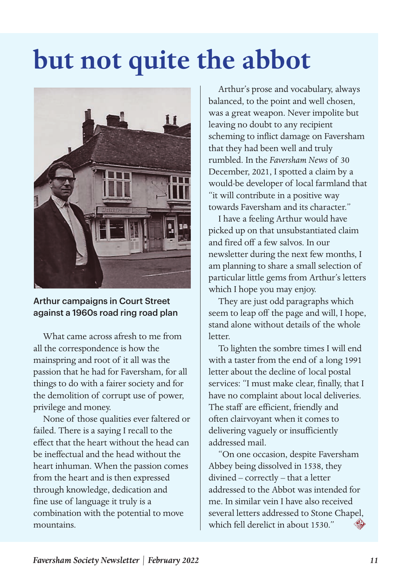# **but not quite the abbot**



### Arthur campaigns in Court Street against a 1960s road ring road plan

What came across afresh to me from all the correspondence is how the mainspring and root of it all was the passion that he had for Faversham, for all things to do with a fairer society and for the demolition of corrupt use of power, privilege and money.

None of those qualities ever faltered or failed. There is a saying I recall to the effect that the heart without the head can be ineffectual and the head without the heart inhuman. When the passion comes from the heart and is then expressed through knowledge, dedication and fine use of language it truly is a combination with the potential to move mountains.

Arthur's prose and vocabulary, always balanced, to the point and well chosen, was a great weapon. Never impolite but leaving no doubt to any recipient scheming to inflict damage on Faversham that they had been well and truly rumbled. In the *Faversham News* of 30 December, 2021, I spotted a claim by a would-be developer of local farmland that "it will contribute in a positive way towards Faversham and its character."

I have a feeling Arthur would have picked up on that unsubstantiated claim and fired off a few salvos. In our newsletter during the next few months, I am planning to share a small selection of particular little gems from Arthur's letters which I hope you may enjoy.

They are just odd paragraphs which seem to leap off the page and will, I hope, stand alone without details of the whole letter.

To lighten the sombre times I will end with a taster from the end of a long 1991 letter about the decline of local postal services: "I must make clear, finally, that I have no complaint about local deliveries. The staff are efficient, friendly and often clairvoyant when it comes to delivering vaguely or insufficiently addressed mail.

"On one occasion, despite Faversham Abbey being dissolved in 1538, they divined – correctly – that a letter addressed to the Abbot was intended for me. In similar vein I have also received several letters addressed to Stone Chapel, which fell derelict in about 1530."